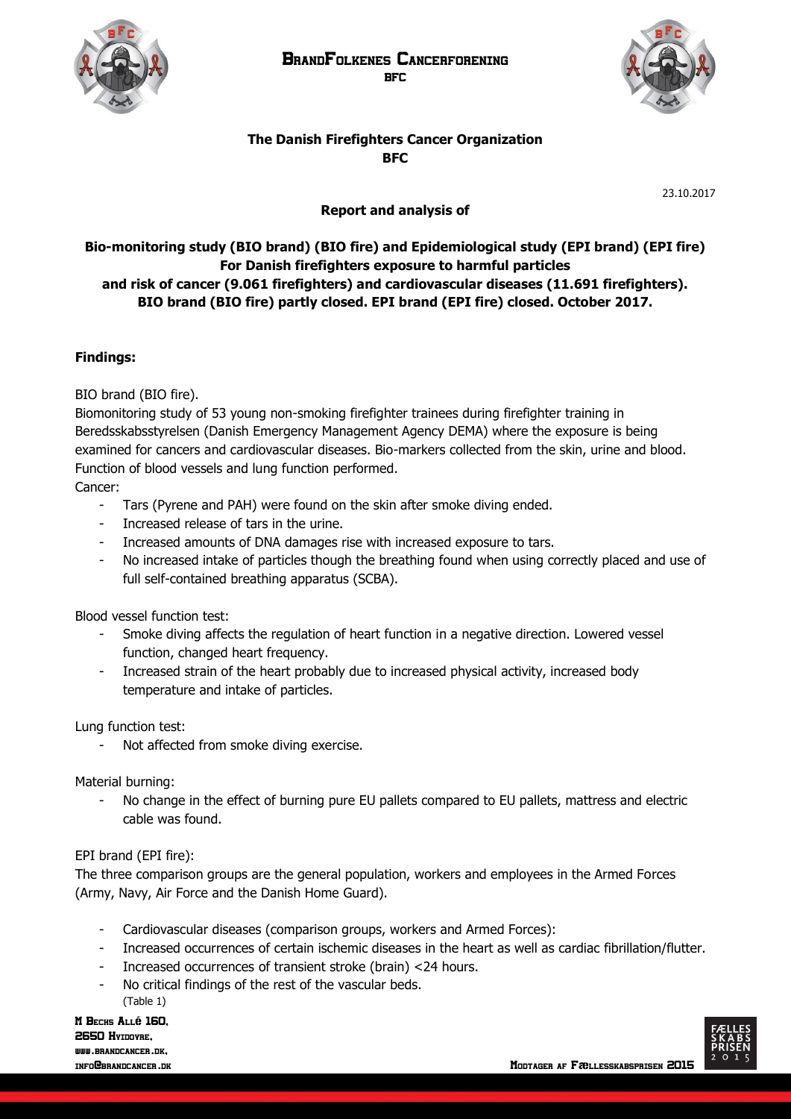



# **The Danish Firefighters Cancer Organization BFC**

23.10.2017

# **Report and analysis of**

# **Bio-monitoring study (BIO brand) (BIO fire) and Epidemiological study (EPI brand) (EPI fire) For Danish firefighters exposure to harmful particles and risk of cancer (9.061 firefighters) and cardiovascular diseases (11.691 firefighters). BIO brand (BIO fire) partly closed. EPI brand (EPI fire) closed. October 2017.**

### **Findings:**

BIO brand (BIO fire).

Biomonitoring study of 53 young non-smoking firefighter trainees during firefighter training in Beredsskabsstyrelsen (Danish Emergency Management Agency DEMA) where the exposure is being examined for cancers and cardiovascular diseases. Bio-markers collected from the skin, urine and blood. Function of blood vessels and lung function performed.

Cancer:

- Tars (Pyrene and PAH) were found on the skin after smoke diving ended.
- Increased release of tars in the urine.
- Increased amounts of DNA damages rise with increased exposure to tars.
- No increased intake of particles though the breathing found when using correctly placed and use of full self-contained breathing apparatus (SCBA).

Blood vessel function test:

- Smoke diving affects the regulation of heart function in a negative direction. Lowered vessel function, changed heart frequency.
- Increased strain of the heart probably due to increased physical activity, increased body temperature and intake of particles.

Lung function test:

Not affected from smoke diving exercise.

Material burning:

No change in the effect of burning pure EU pallets compared to EU pallets, mattress and electric cable was found.

### EPI brand (EPI fire):

The three comparison groups are the general population, workers and employees in the Armed Forces (Army, Navy, Air Force and the Danish Home Guard).

- Cardiovascular diseases (comparison groups, workers and Armed Forces):
- Increased occurrences of certain ischemic diseases in the heart as well as cardiac fibrillation/flutter.
- Increased occurrences of transient stroke (brain) <24 hours.
- No critical findings of the rest of the vascular beds. (Table 1)

M Bechs Allé 160, 2650 Hyidovre, www.ppsyncancep.nv

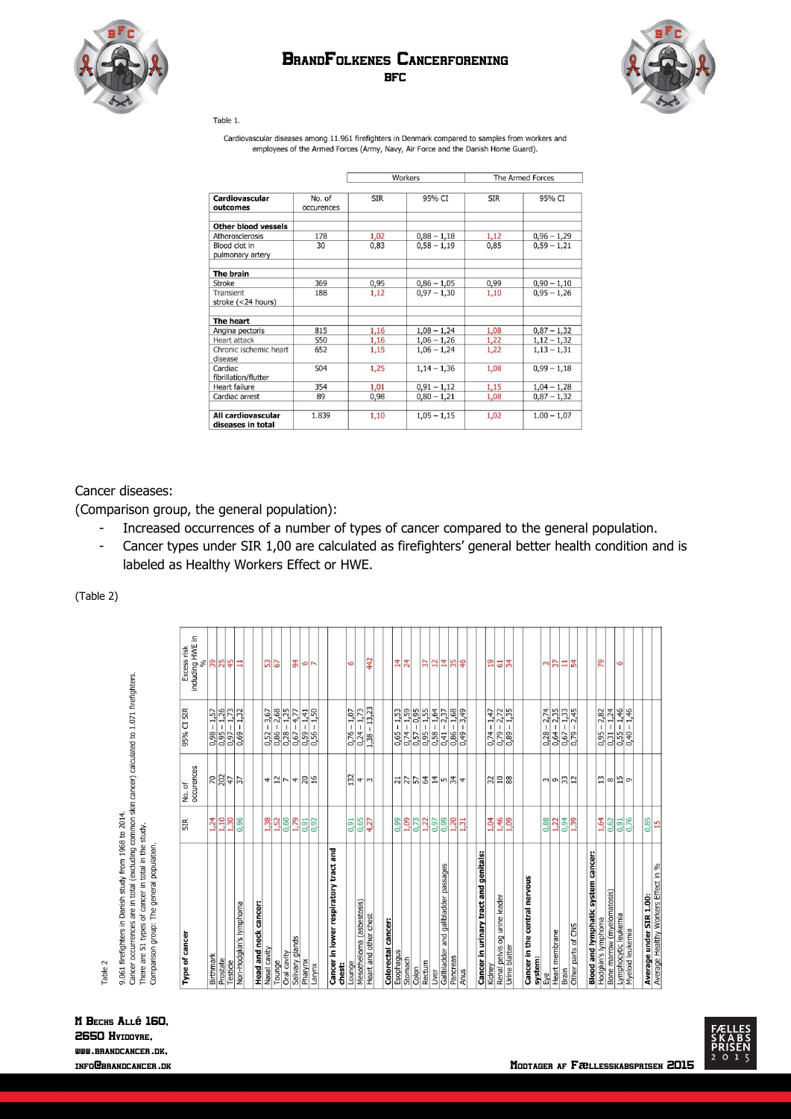

## BrandFolkenes Cancerforening **BFC**



Table 1.

Cardiovascular diseases among 11.961 firefighters in Denmark compared to samples from workers and employees of the Armed Forces (Army, Navy, Air Force and the Danish Home Guard).

|                                         |                      | Workers    |               | The Armed Forces |               |
|-----------------------------------------|----------------------|------------|---------------|------------------|---------------|
| <b>Cardiovascular</b><br>outcomes       | No. of<br>occurences | <b>SIR</b> | 95% CI        | <b>SIR</b>       | 95% CI        |
| <b>Other blood vessels</b>              |                      |            |               |                  |               |
| Atherosclerosis                         | 178                  | 1,02       | $0,88 - 1,18$ | 1,12             | $0,96 - 1,29$ |
| Blood clot in<br>pulmonary artery       | 30                   | 0,83       | $0,58 - 1,19$ | 0,85             | $0,59 - 1,21$ |
| The brain                               |                      |            |               |                  |               |
| <b>Stroke</b>                           | 369                  | 0,95       | $0,86 - 1,05$ | 0,99             | $0,90 - 1,10$ |
| Transient<br>stroke (<24 hours)         | 188                  | 1,12       | $0.97 - 1.30$ | 1,10             | $0,95 - 1,26$ |
| The heart                               |                      |            |               |                  |               |
| Angina pectoris                         | 815                  | 1,16       | $1,08 - 1,24$ | 1,08             | $0,87 - 1,32$ |
| Heart attack                            | 550                  | 1,16       | $1,06 - 1,26$ | 1,22             | $1,12-1,32$   |
| Chronic ischemic heart<br>disease       | 652                  | 1,15       | $1,06 - 1,24$ | 1,22             | $1,13 - 1,31$ |
| Cardiac<br>fibrillation/flutter         | 504                  | 1,25       | $1,14-1,36$   | 1,08             | $0.99 - 1.18$ |
| <b>Heart failure</b>                    | 354                  | 1,01       | $0,91 - 1,12$ | 1,15             | $1,04 - 1,28$ |
| Cardiac arrest                          | 89                   | 0,98       | $0,80 - 1,21$ | 1,08             | $0,87 - 1,32$ |
| All cardiovascular<br>diseases in total | 1.839                | 1,10       | $1,05 - 1,15$ | 1,02             | $1.00 - 1.07$ |

Cancer diseases:

(Comparison group, the general population):

- Increased occurrences of a number of types of cancer compared to the general population.
- Cancer types under SIR 1,00 are calculated as firefighters' general better health condition and is labeled as Healthy Workers Effect or HWE.

(Table 2)

| Type of cancer                                                        | SIR                                                                   | No. of<br>occurences        | 95% CI SIR                                                                      | Excess risk      |
|-----------------------------------------------------------------------|-----------------------------------------------------------------------|-----------------------------|---------------------------------------------------------------------------------|------------------|
|                                                                       |                                                                       |                             |                                                                                 | including HWE in |
| Birthmark                                                             | 1,24                                                                  | $R = 37$                    |                                                                                 | 38.49            |
| Prostate                                                              | 1,10                                                                  |                             |                                                                                 |                  |
| Testicle                                                              | 1,30                                                                  |                             |                                                                                 |                  |
| Non-Hodgkin's lymphoma                                                | 0,96                                                                  |                             | $\begin{array}{c} 0,98-1,57 \\ 0,95-1,26 \\ 0,97-1,73 \\ 0,69-1,32 \end{array}$ | Ξ                |
| Head and neck cancer:                                                 |                                                                       |                             |                                                                                 |                  |
| Nasal cavity                                                          |                                                                       |                             |                                                                                 |                  |
| Tounge                                                                |                                                                       |                             |                                                                                 | 53               |
| Oral cavity                                                           | 1,52<br>1,52<br>0,60                                                  | $\frac{4}{2}$ $\frac{1}{2}$ | $\frac{0,52 - 3,67}{0,86 - 2,68}$<br>$\frac{0,28 - 1,25}{0,67 - 4,77}$          |                  |
|                                                                       | 1,79                                                                  |                             |                                                                                 | $\overline{4}$   |
| Salivary glands<br>Pharynx                                            |                                                                       | $rac{4}{20}$                | $-1,41$                                                                         | $\frac{1}{2}$    |
| Larynx                                                                | $\frac{0.91}{0.92}$                                                   | 16                          | $-1,50$<br>0,59                                                                 |                  |
| Cancer in lower respiratory tract and<br>chest:                       |                                                                       |                             |                                                                                 |                  |
| Lounge                                                                | 0,91                                                                  | 132                         | $-1,07$<br>$0.76 -$                                                             | 9                |
| Mesothelioma (asbestosis)                                             |                                                                       |                             |                                                                                 |                  |
| Heart and other chest                                                 | $0,65$<br>4,27                                                        | 4 <sub>m</sub>              | $\frac{0,24-1,73}{1,38-13,23}$                                                  | 442              |
|                                                                       |                                                                       |                             |                                                                                 |                  |
| Colorectal cancer:<br>Esophagus                                       | 0,99                                                                  |                             | $-1,53$<br>0,65                                                                 | 14               |
| Stomach                                                               |                                                                       |                             | $-1,59$                                                                         | 24               |
| Colon                                                                 |                                                                       |                             | $\frac{0.74 - 1.59}{0.57 - 0.95}$                                               |                  |
| Rectum                                                                |                                                                       |                             | $0,95 - 1,55$                                                                   | $\overline{37}$  |
| Liver                                                                 | $\frac{1}{2}$ $\frac{1}{2}$ $\frac{1}{2}$ $\frac{2}{2}$ $\frac{5}{2}$ |                             | $0,58 - 1,64$                                                                   | $\overline{12}$  |
| Gallbladder and gallbladder passages                                  | 0,99                                                                  |                             | $-2,37$<br>0,41                                                                 | 14               |
| Pancreas                                                              |                                                                       | <u>네네일입다이와</u>              |                                                                                 |                  |
| Anus                                                                  | $\frac{1,20}{1,31}$                                                   |                             | $\frac{-1,68}{-3,49}$<br>$\frac{0,86}{0,49}$                                    | $\frac{55}{4}$   |
|                                                                       |                                                                       |                             |                                                                                 |                  |
| Cancer in urinary tract and genitals:                                 |                                                                       |                             |                                                                                 |                  |
| Kidney                                                                | 1,04                                                                  |                             | $-1,47$<br>0,74.                                                                | $\overline{a}$   |
| Renal pelvis og urine leader                                          | 1,46                                                                  | $\frac{28}{28}$             | $-2,72$<br>$-1,35$<br>$\frac{0.79}{0.89}$                                       | $rac{1}{34}$     |
| Urine blatter                                                         |                                                                       |                             |                                                                                 |                  |
| Cancer in the central nervous<br>system:                              |                                                                       |                             |                                                                                 |                  |
| Eye                                                                   |                                                                       |                             |                                                                                 |                  |
| Heart membrane                                                        |                                                                       |                             |                                                                                 | $\frac{37}{2}$   |
| Brain                                                                 | $0.88$<br>$-1.05$<br>$-1.79$                                          | $\frac{1}{2}$               |                                                                                 |                  |
| Other parts of CNS                                                    |                                                                       |                             | $\frac{0,28-2,74}{0,64-2,35}$<br>$\frac{0,64-2,35}{0,67-1,33}$                  | $\frac{11}{54}$  |
| <b>Blood and lymphatic system cancer:</b>                             |                                                                       |                             |                                                                                 |                  |
| Hodgkin's lymphoma                                                    | 1,64                                                                  | $^{13}$                     | $-2,82$<br>0,95                                                                 | 29               |
| Bone marrow (myelomatosis)                                            |                                                                       |                             |                                                                                 |                  |
| Lymphocytic leukemia                                                  | 0,62<br>0,91<br>0,76                                                  | ∞ 出の                        | $\frac{0,31-1,24}{0,55-1,46}$                                                   | 6                |
| Myeloid leukemia                                                      |                                                                       |                             | $-1,46$<br>0,40.                                                                |                  |
|                                                                       |                                                                       |                             |                                                                                 |                  |
| <b>Average under SIR 1.00:</b><br>Average Healthy Workers Effect in % | 0,85<br>15                                                            |                             |                                                                                 |                  |
|                                                                       |                                                                       |                             |                                                                                 |                  |

M Bechs Allé 160, 2650 Hyidovre, [www.brandcancer.dk,](http://www.brandcancer.dk/)

Table 2

9.061 firefighters in Danish study from 1968 to 2014.<br>Cancer occurrences are in total (excluding common skin cancer) calculated to 1.071 firefighters.<br>There are 51 types of cancer in total in the study.<br>Comparison group: T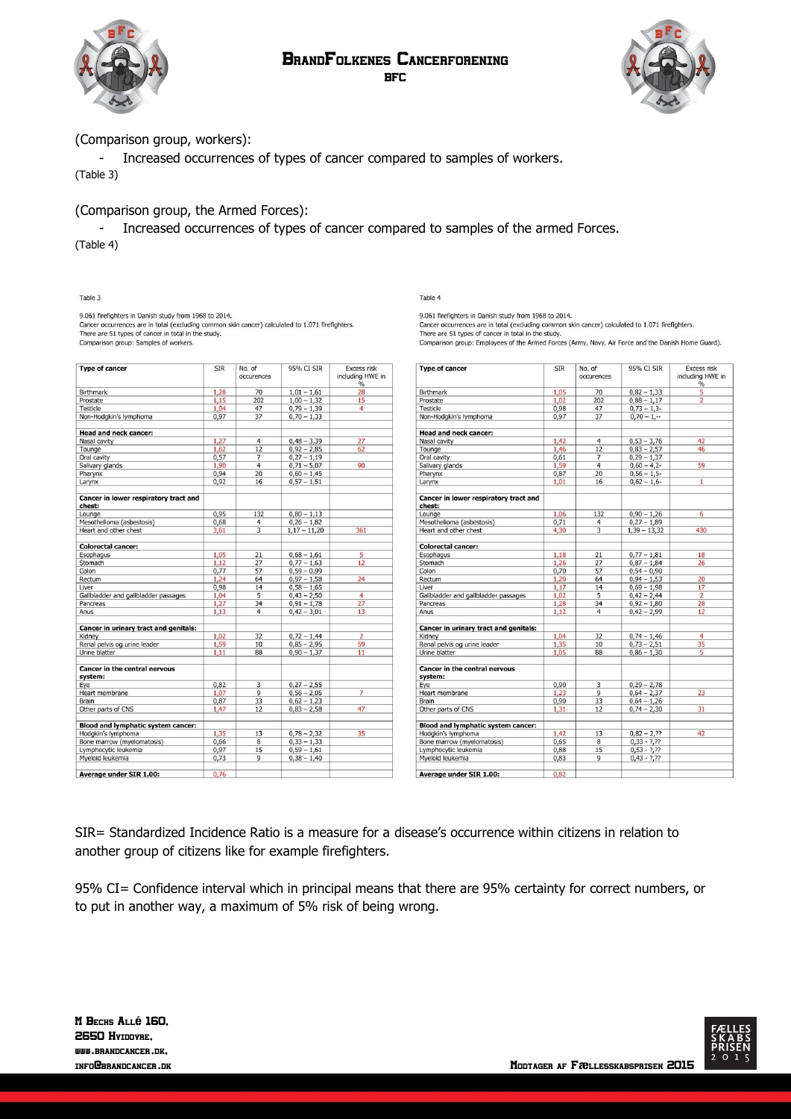#### BrandFolkenes Cancerforening BFC





### (Comparison group, workers):

9.061 firefighters in Danish study from 1968 to 2014.

- Increased occurrences of types of cancer compared to samples of workers. (Table 3)

### (Comparison group, the Armed Forces):

- Increased occurrences of types of cancer compared to samples of the armed Forces. (Table 4)

Table 3

Table 4

9.061 firefighters in Danish study from 1968 to 2014. Cancer occurrences are in total (excluding common skin cancer) calculated to 1.071 firefighters.<br>There are 51 types of cancer in total in the study.

Cancer occurrences are in total (excluding common skin cancer) calculated to 1.071 firefighters.<br>There are 51 types of cancer in total in the study. Comparison group: Samples of workers.

| <b>Type of cancer</b>                 | <b>SIR</b> | No. of<br>occurences | 95% CI SIR     | <b>Excess risk</b><br>including HWE in<br>$\%$ |
|---------------------------------------|------------|----------------------|----------------|------------------------------------------------|
| <b>Birthmark</b>                      | 1,28       | 70                   | $1,01 - 1,61$  | 28                                             |
| Prostate                              | 1,15       | 202                  | $1,00 - 1,32$  | 15                                             |
| Testicle                              | 1,04       | 47                   | $0,79 - 1,39$  | $\overline{4}$                                 |
| Non-Hodgkin's lymphoma                | 0,97       | 37                   | $0,70 - 1,33$  |                                                |
|                                       |            |                      |                |                                                |
| <b>Head and neck cancer:</b>          |            |                      |                |                                                |
| Nasal cavity                          | 1,27       | $\overline{4}$       | $0,48 - 3,39$  | 27                                             |
| Tounge                                | 1,62       | 12                   | $0,92 - 2,85$  | 62                                             |
| Oral cavity                           | 0,57       | 7                    | $0,27 - 1,19$  |                                                |
| Salivary glands                       | 1,90       | $\overline{4}$       | $0,71 - 5,07$  | 90                                             |
| Pharynx                               | 0,94       | 20                   | $0,60 - 1,45$  |                                                |
| Larynx                                | 0,92       | 16                   | $0.57 - 1.51$  |                                                |
| Cancer in lower respiratory tract and |            |                      |                |                                                |
| chest:                                |            |                      |                |                                                |
| Lounge                                | 0,95       | 132                  | $0,80 - 1,13$  |                                                |
| Mesothelioma (asbestosis)             | 0,68       | $\overline{4}$       | $0,26 - 1,82$  |                                                |
| Heart and other chest                 | 3,61       | 3                    | $1,17 - 11,20$ | 361                                            |
| <b>Colorectal cancer:</b>             |            |                      |                |                                                |
| Esophagus                             | 1,05       | 21                   | $0,68 - 1,61$  | 5                                              |
| Stomach                               | 1,12       | 27                   | $0.77 - 1.63$  | 12                                             |
| Colon                                 | 0.77       | 57                   | $0,59 - 0,99$  |                                                |
| Rectum                                | 1,24       | 64                   | $0,97 - 1,58$  | 24                                             |
| Liver                                 | 0,98       | 14                   | $0.58 - 1.65$  |                                                |
| Gallbladder and gallbladder passages  | 1.04       | 5                    | $0,43 - 2,50$  | $\overline{4}$                                 |
| Pancreas                              | 1,27       | 34                   | $0,91 - 1,78$  | 27                                             |
| Anus                                  | 1,13       | $\overline{4}$       | $0,42 - 3,01$  | 13                                             |
|                                       |            |                      |                |                                                |
| Cancer in urinary tract and genitals: |            |                      |                |                                                |
| Kidney                                | 1,02       | 32                   | $0,72 - 1,44$  | $\overline{2}$                                 |
| Renal pelvis og urine leader          | 1,59       | 10                   | $0,85 - 2,95$  | 59                                             |
| Urine blatter                         | 1,11       | 88                   | $0.90 - 1.37$  | 11                                             |
| <b>Cancer in the central nervous</b>  |            |                      |                |                                                |
| system:                               |            |                      |                |                                                |
| Eye                                   | 0,82       | 3                    | $0,27 - 2,55$  |                                                |
| <b>Heart membrane</b>                 | 1,07       | $\overline{9}$       | $0,56 - 2,05$  | $\overline{7}$                                 |
| Brain                                 | 0,87       | 33                   | $0,62 - 1,23$  |                                                |
| Other parts of CNS                    | 1,47       | 12                   | $0,83 - 2,58$  | 47                                             |
| Blood and lymphatic system cancer:    |            |                      |                |                                                |
| Hodgkin's lymphoma                    | 1,35       | 13                   | $0,78 - 2,32$  | 35                                             |
| Bone marrow (myelomatosis)            | 0,66       | 8                    | $0,33 - 1,33$  |                                                |
| Lymphocytic leukemia                  | 0,97       | 15                   | $0,59 - 1,61$  |                                                |
| Myeloid leukemia                      | 0,73       | 9                    | $0,38 - 1,40$  |                                                |
|                                       |            |                      |                |                                                |
| Average under SIR 1.00:               | 0.76       |                      |                |                                                |

| <b>Type of cancer</b>                           | <b>SIR</b> | No. of<br>occurences | 95% CI SIR      | <b>Excess risk</b><br>including HWE in<br>$\%$ |
|-------------------------------------------------|------------|----------------------|-----------------|------------------------------------------------|
| <b>Birthmark</b>                                | 1,05       | 70                   | $0,82 - 1,33$   | 5                                              |
| Prostate                                        | 1.02       | 202                  | $0,88 - 1,17$   | $\overline{2}$                                 |
| Testicle                                        | 0.98       | 47                   | $0,73 - 1,3-$   |                                                |
| Non-Hodgkin's lymphoma                          | 0.97       | 37                   | $0.70 - 1.$     |                                                |
| <b>Head and neck cancer:</b>                    |            |                      |                 |                                                |
| Nasal cavity                                    | 1.42       | $\overline{4}$       | $0,53 - 3,76$   | 42                                             |
| Tounge                                          | 1,46       | 12                   | $0,83 - 2,57$   | 46                                             |
| Oral cavity                                     | 0,61       | 7                    | $0,29 - 1,37$   |                                                |
| Salivary glands                                 | 1,59       | $\overline{4}$       | $0,60 - 4,2-$   | 59                                             |
| Pharynx                                         | 0,87       | 20                   | $0,56 - 1,5$ -  |                                                |
| Larynx                                          | 1,01       | 16                   | $0.62 - 1.6 -$  | $\mathbf{1}$                                   |
| Cancer in lower respiratory tract and<br>chest: |            |                      |                 |                                                |
| Lounge                                          | 1,06       | 132                  | $0,90 - 1,26$   | 6                                              |
| Mesothelioma (asbestosis)                       | 0,71       | $\overline{4}$       | $0,27 - 1,89$   |                                                |
| Heart and other chest                           | 4,30       | 3                    | $1,39-13,32$    | 430                                            |
| <b>Colorectal cancer:</b>                       |            |                      |                 |                                                |
| Esophagus                                       | 1,18       | 21                   | $0,77 - 1,81$   | 18                                             |
| Stomach                                         | 1,26       | 27                   | $0,87 - 1,84$   | 26                                             |
| Colon                                           | 0,70       | 57                   | $0.54 - 0.90$   |                                                |
| Rectum                                          | 1,20       | 64                   | $0,94 - 1,53$   | 20                                             |
| Liver                                           | 1,17       | 14                   | $0,69 - 1,98$   | 17                                             |
| Gallbladder and gallbladder passages            | 1,02       | 5                    | $0,42 - 2,44$   | $\overline{2}$                                 |
| Pancreas                                        | 1,28       | 34                   | $0,92 - 1,80$   | 28                                             |
| Anus                                            | 1,12       | $\overline{4}$       | $0,42 - 2,99$   | 12                                             |
| Cancer in urinary tract and genitals:           |            |                      |                 |                                                |
| Kidney                                          | 1,04       | 32                   | $0,74 - 1,46$   | 4                                              |
| Renal pelvis og urine leader                    | 1,35       | 10                   | $0,73 - 2,51$   | 35                                             |
| Urine blatter                                   | 1,05       | 88                   | $0,86 - 1,30$   | 5                                              |
| <b>Cancer in the central nervous</b><br>system: |            |                      |                 |                                                |
| Eye                                             | 0.90       | 3                    | $0,29 - 2,78$   |                                                |
| Heart membrane                                  | 1,23       | $\overline{9}$       | $0,64 - 2,37$   | 23                                             |
| Brain                                           | 0,90       | 33                   | $0,64 - 1,26$   |                                                |
| Other parts of CNS                              | 1,31       | 12                   | $0.74 - 2.30$   | 31                                             |
| Blood and lymphatic system cancer:              |            |                      |                 |                                                |
| Hodgkin's lymphoma                              | 1,42       | 13                   | $0,82 - 2,??$   | 42                                             |
| Bone marrow (myelomatosis)                      | 0,65       | 8                    | $0,33 - ?$ , ?? |                                                |
| Lymphocytic leukemia                            | 0,88       | 15                   | $0,53 - ?$ , ?? |                                                |
| Myeloid leukemia                                | 0,83       | 9                    | $0,43 - ?$ , ?? |                                                |
| Average under SIR 1.00:                         | 0.82       |                      |                 |                                                |

Comparison group: Employees of the Armed Forces (Army, Navy, Air Force and the Danish Home Guard).

SIR= Standardized Incidence Ratio is a measure for a disease's occurrence within citizens in relation to another group of citizens like for example firefighters.

95% CI= Confidence interval which in principal means that there are 95% certainty for correct numbers, or to put in another way, a maximum of 5% risk of being wrong.

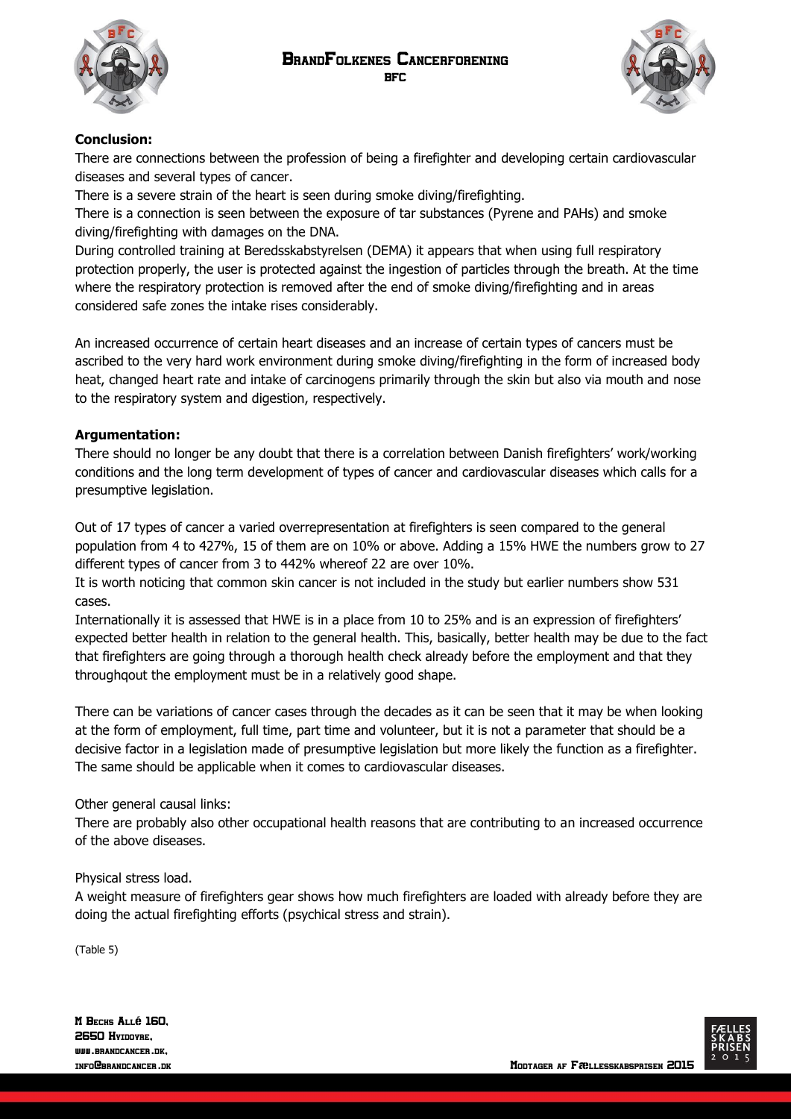



## **Conclusion:**

There are connections between the profession of being a firefighter and developing certain cardiovascular diseases and several types of cancer.

There is a severe strain of the heart is seen during smoke diving/firefighting.

There is a connection is seen between the exposure of tar substances (Pyrene and PAHs) and smoke diving/firefighting with damages on the DNA.

During controlled training at Beredsskabstyrelsen (DEMA) it appears that when using full respiratory protection properly, the user is protected against the ingestion of particles through the breath. At the time where the respiratory protection is removed after the end of smoke diving/firefighting and in areas considered safe zones the intake rises considerably.

An increased occurrence of certain heart diseases and an increase of certain types of cancers must be ascribed to the very hard work environment during smoke diving/firefighting in the form of increased body heat, changed heart rate and intake of carcinogens primarily through the skin but also via mouth and nose to the respiratory system and digestion, respectively.

### **Argumentation:**

There should no longer be any doubt that there is a correlation between Danish firefighters' work/working conditions and the long term development of types of cancer and cardiovascular diseases which calls for a presumptive legislation.

Out of 17 types of cancer a varied overrepresentation at firefighters is seen compared to the general population from 4 to 427%, 15 of them are on 10% or above. Adding a 15% HWE the numbers grow to 27 different types of cancer from 3 to 442% whereof 22 are over 10%.

It is worth noticing that common skin cancer is not included in the study but earlier numbers show 531 cases.

Internationally it is assessed that HWE is in a place from 10 to 25% and is an expression of firefighters' expected better health in relation to the general health. This, basically, better health may be due to the fact that firefighters are going through a thorough health check already before the employment and that they throughqout the employment must be in a relatively good shape.

There can be variations of cancer cases through the decades as it can be seen that it may be when looking at the form of employment, full time, part time and volunteer, but it is not a parameter that should be a decisive factor in a legislation made of presumptive legislation but more likely the function as a firefighter. The same should be applicable when it comes to cardiovascular diseases.

### Other general causal links:

There are probably also other occupational health reasons that are contributing to an increased occurrence of the above diseases.

#### Physical stress load.

A weight measure of firefighters gear shows how much firefighters are loaded with already before they are doing the actual firefighting efforts (psychical stress and strain).

(Table 5)

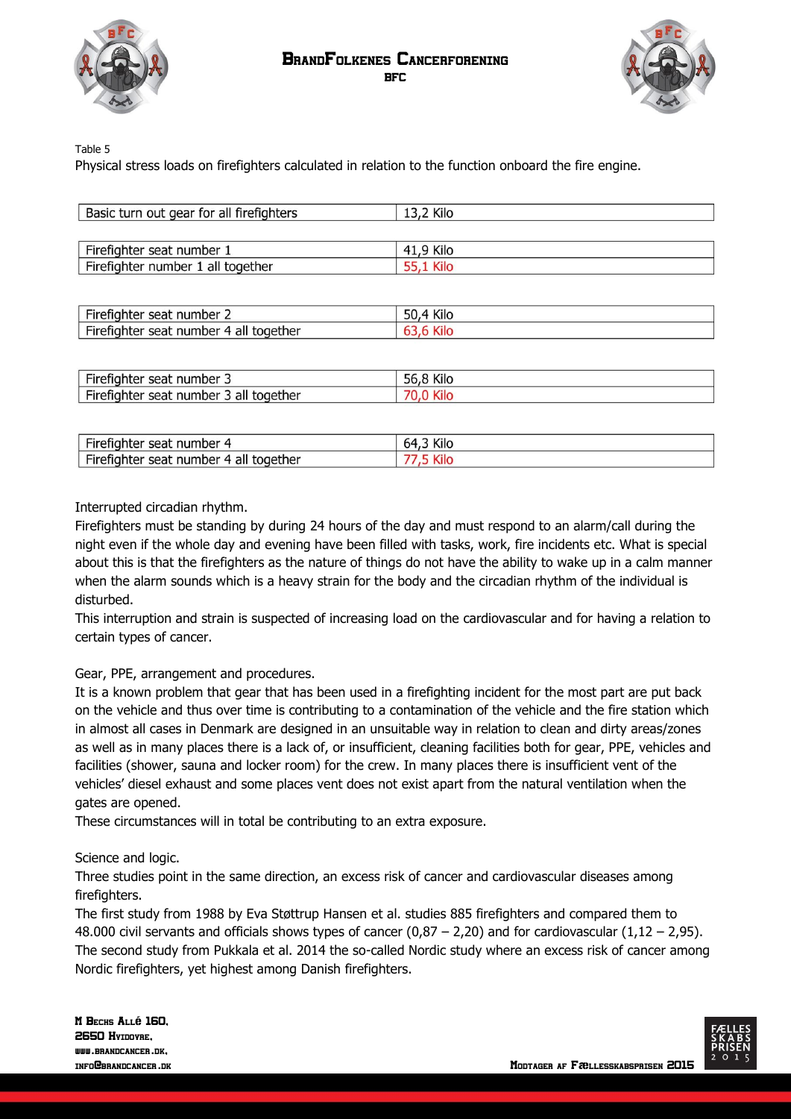



Table 5

Physical stress loads on firefighters calculated in relation to the function onboard the fire engine.

| Basic turn out gear for all firefighters | 13,2 Kilo |  |
|------------------------------------------|-----------|--|
|                                          |           |  |
| Firefighter seat number 1                | 41.9 Kilo |  |
| Firefighter number 1 all together        |           |  |

| $- -$<br>-irefighter<br>number<br>seat                         | $\mathbf{r}$<br>KIIC<br>CC |
|----------------------------------------------------------------|----------------------------|
| <b>Fire</b><br>erighter -<br>together<br>number<br>all<br>sear |                            |

| $-$<br>number<br>seat<br>nuncer                                         | 1.71<br>KIIO<br>זר |
|-------------------------------------------------------------------------|--------------------|
| $-$<br>Fir<br>aether<br>number.<br>------<br>seat<br>COC<br>ntei<br>dll |                    |

| $-$<br>.<br>number<br>seat<br>ЧО.<br>י ונכ.                        | $\cdots$<br>שוות<br>ີ |
|--------------------------------------------------------------------|-----------------------|
| $-1$<br>number<br>aether<br>$\cdots$<br>seat<br>11 ہ<br>dll<br>ЧО. |                       |

#### Interrupted circadian rhythm.

Firefighters must be standing by during 24 hours of the day and must respond to an alarm/call during the night even if the whole day and evening have been filled with tasks, work, fire incidents etc. What is special about this is that the firefighters as the nature of things do not have the ability to wake up in a calm manner when the alarm sounds which is a heavy strain for the body and the circadian rhythm of the individual is disturbed.

This interruption and strain is suspected of increasing load on the cardiovascular and for having a relation to certain types of cancer.

#### Gear, PPE, arrangement and procedures.

It is a known problem that gear that has been used in a firefighting incident for the most part are put back on the vehicle and thus over time is contributing to a contamination of the vehicle and the fire station which in almost all cases in Denmark are designed in an unsuitable way in relation to clean and dirty areas/zones as well as in many places there is a lack of, or insufficient, cleaning facilities both for gear, PPE, vehicles and facilities (shower, sauna and locker room) for the crew. In many places there is insufficient vent of the vehicles' diesel exhaust and some places vent does not exist apart from the natural ventilation when the gates are opened.

These circumstances will in total be contributing to an extra exposure.

#### Science and logic.

Three studies point in the same direction, an excess risk of cancer and cardiovascular diseases among firefighters.

The first study from 1988 by Eva Støttrup Hansen et al. studies 885 firefighters and compared them to 48.000 civil servants and officials shows types of cancer  $(0.87 - 2.20)$  and for cardiovascular  $(1.12 - 2.95)$ . The second study from Pukkala et al. 2014 the so-called Nordic study where an excess risk of cancer among Nordic firefighters, yet highest among Danish firefighters.

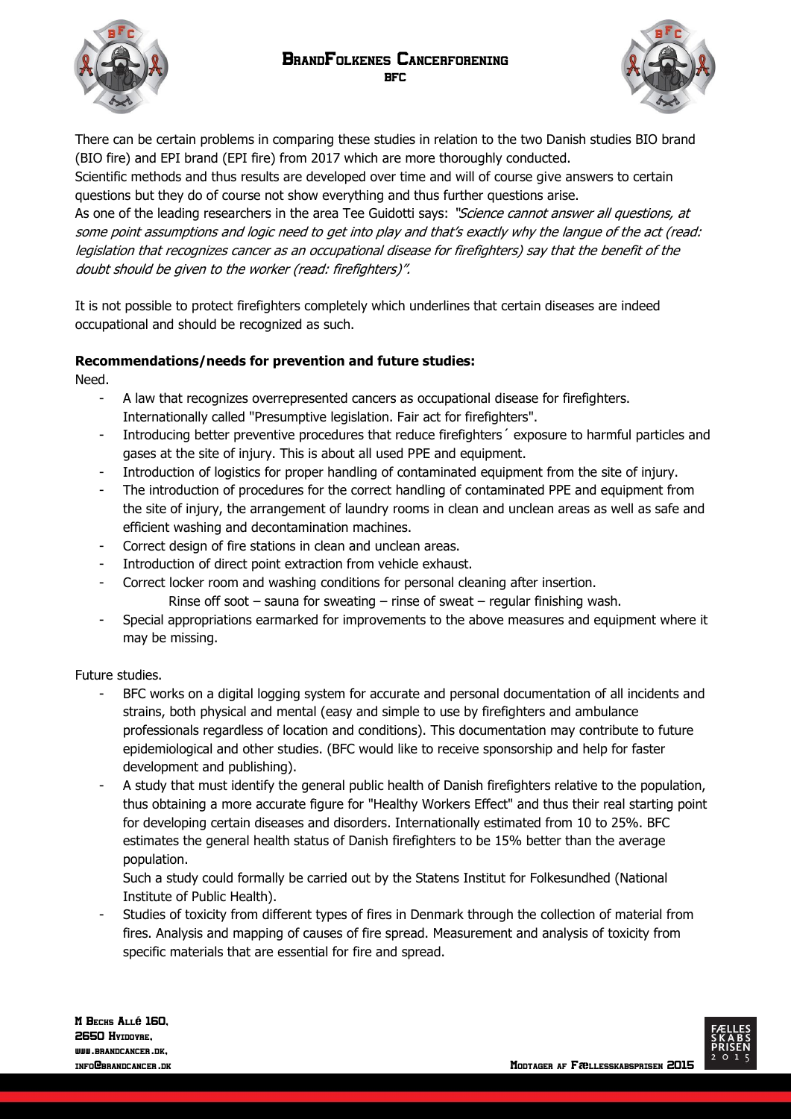BrandFolkenes Cancerforening BFC





There can be certain problems in comparing these studies in relation to the two Danish studies BIO brand (BIO fire) and EPI brand (EPI fire) from 2017 which are more thoroughly conducted.

Scientific methods and thus results are developed over time and will of course give answers to certain questions but they do of course not show everything and thus further questions arise.

As one of the leading researchers in the area Tee Guidotti says: "Science cannot answer all questions, at some point assumptions and logic need to get into play and that's exactly why the langue of the act (read: legislation that recognizes cancer as an occupational disease for firefighters) say that the benefit of the doubt should be given to the worker (read: firefighters)".

It is not possible to protect firefighters completely which underlines that certain diseases are indeed occupational and should be recognized as such.

### **Recommendations/needs for prevention and future studies:**

Need.

- A law that recognizes overrepresented cancers as occupational disease for firefighters. Internationally called "Presumptive legislation. Fair act for firefighters".
- Introducing better preventive procedures that reduce firefighters´ exposure to harmful particles and gases at the site of injury. This is about all used PPE and equipment.
- Introduction of logistics for proper handling of contaminated equipment from the site of injury.
- The introduction of procedures for the correct handling of contaminated PPE and equipment from the site of injury, the arrangement of laundry rooms in clean and unclean areas as well as safe and efficient washing and decontamination machines.
- Correct design of fire stations in clean and unclean areas.
- Introduction of direct point extraction from vehicle exhaust.
- Correct locker room and washing conditions for personal cleaning after insertion.
	- Rinse off soot sauna for sweating rinse of sweat regular finishing wash.
- Special appropriations earmarked for improvements to the above measures and equipment where it may be missing.

Future studies.

- BFC works on a digital logging system for accurate and personal documentation of all incidents and strains, both physical and mental (easy and simple to use by firefighters and ambulance professionals regardless of location and conditions). This documentation may contribute to future epidemiological and other studies. (BFC would like to receive sponsorship and help for faster development and publishing).
- A study that must identify the general public health of Danish firefighters relative to the population, thus obtaining a more accurate figure for "Healthy Workers Effect" and thus their real starting point for developing certain diseases and disorders. Internationally estimated from 10 to 25%. BFC estimates the general health status of Danish firefighters to be 15% better than the average population.

Such a study could formally be carried out by the Statens Institut for Folkesundhed (National Institute of Public Health).

- Studies of toxicity from different types of fires in Denmark through the collection of material from fires. Analysis and mapping of causes of fire spread. Measurement and analysis of toxicity from specific materials that are essential for fire and spread.